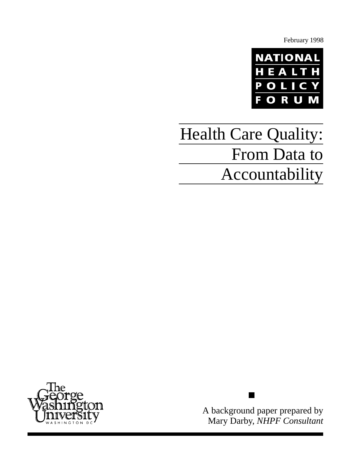February 1998



# Health Care Quality: From Data to Accountability



A background paper prepared by Mary Darby, *NHPF Consultant*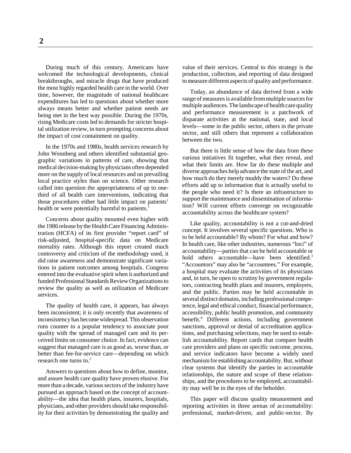During much of this century, Americans have welcomed the technological developments, clinical breakthroughs, and miracle drugs that have produced the most highly regarded health care in the world. Over time, however, the magnitude of national healthcare expenditures has led to questions about whether more always means better and whether patient needs are being met in the best way possible. During the 1970s, rising Medicare costs led to demands for stricter hospital utilization review, in turn prompting concerns about the impact of cost containment on quality.

In the 1970s and 1980s, health services research by John Wennberg and others identified substantial geographic variations in patterns of care, showing that medical decision-making by physicians often depended more on the supply of local resources and on prevailing local practice styles than on science. Other research called into question the appropriateness of up to onethird of all health care interventions, indicating that those procedures either had little impact on patients' health or were potentially harmful to patients.<sup>1</sup>

Concerns about quality mounted even higher with the 1986 release by the Health Care Financing Administration (HCFA) of its first provider "report card" of risk-adjusted, hospital-specific data on Medicare mortality rates. Although this report created much controversy and criticism of the methodology used, it did raise awareness and demonstrate significant variations in patient outcomes among hospitals. Congress entered into the evaluative spirit when it authorized and funded Professional Standards Review Organizations to review the quality as well as utilization of Medicare services.

The quality of health care, it appears, has always been inconsistent; it is only recently that awareness of inconsistency has become widespread. This observation runs counter to a popular tendency to associate poor quality with the spread of managed care and its perceived limits on consumer choice. In fact, evidence can suggest that managed care is as good as, worse than, or better than fee-for-service care—depending on which research one turns to  $2$ 

Answers to questions about how to define, monitor, and assure health care quality have proven elusive. For more than a decade, various sectors of the industry have pursued an approach based on the concept of accountability—the idea that health plans, insurers, hospitals, physicians, and other providers should take responsibility for their activities by demonstrating the quality and value of their services. Central to this strategy is the production, collection, and reporting of data designed to measure different aspects of quality and performance.

Today, an abundance of data derived from a wide range of measures is available from multiple sources for multiple audiences. The landscape of health care quality and performance measurement is a patchwork of disparate activities at the national, state, and local levels—some in the public sector, others in the private sector, and still others that represent a collaboration between the two.

But there is little sense of how the data from these various initiatives fit together, what they reveal, and what their limits are. How far do these multiple and diverse approaches help advance the state of the art, and how much do they merely muddy the waters? Do these efforts add up to information that is actually useful to the people who need it? Is there an infrastructure to support the maintenance and dissemination of information? Will current efforts converge on recognizable accountability across the healthcare system?

Like quality, accountability is not a cut-and-dried concept. It involves several specific questions. Who is to be held accountable? By whom? For what and how? In health care, like other industries, numerous "loci" of accountability—parties that can be held accountable or hold others accountable—have been identified.<sup>3</sup> "Accountors" may also be "accountees." For example, a hospital may evaluate the activities of its physicians and, in turn, be open to scrutiny by government regulators, contracting health plans and insurers, employers, and the public. Parties may be held accountable in several distinct domains, including professional competence, legal and ethical conduct, financial performance, accessibility, public health promotion, and community benefit.4 Different actions, including government sanctions, approval or denial of accreditation applications, and purchasing selections, may be used to establish accountability. Report cards that compare health care providers and plans on specific outcome, process, and service indicators have become a widely used mechanism for establishing accountability. But, without clear systems that identify the parties in accountable relationships, the nature and scope of these relationships, and the procedures to be employed, accountability may well be in the eyes of the beholder.

This paper will discuss quality measurement and reporting activities in three arenas of accountability: professional, market-driven, and public-sector. By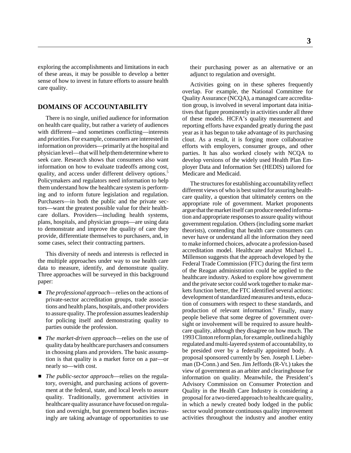exploring the accomplishments and limitations in each of these areas, it may be possible to develop a better sense of how to invest in future efforts to assure health care quality.

# **DOMAINS OF ACCOUNTABILITY**

There is no single, unified audience for information on health care quality, but rather a variety of audiences with different—and sometimes conflicting—interests and priorities. For example, consumers are interested in information on providers—primarily at the hospital and physician level—that will help them determine where to seek care. Research shows that consumers also want information on how to evaluate tradeoffs among cost, quality, and access under different delivery options.<sup>5</sup> Policymakers and regulators need information to help them understand how the healthcare system is performing and to inform future legislation and regulation. Purchasers—in both the public and the private sectors—want the greatest possible value for their healthcare dollars. Providers—including health systems, plans, hospitals, and physician groups—are using data to demonstrate and improve the quality of care they provide, differentiate themselves to purchasers, and, in some cases, select their contracting partners.

This diversity of needs and interests is reflected in the multiple approaches under way to use health care data to measure, identify, and demonstrate quality. Three approaches will be surveyed in this background paper:

- *The professional approach*—relies on the actions of private-sector accreditation groups, trade associations and health plans, hospitals, and other providers to assure quality. The profession assumes leadership for policing itself and demonstrating quality to parties outside the profession.
- *The market-driven approach*—relies on the use of quality data by healthcare purchasers and consumers in choosing plans and providers. The basic assumption is that quality is a market force on a par—or nearly so—with cost.
- *The public-sector approach*—relies on the regulatory, oversight, and purchasing actions of government at the federal, state, and local levels to assure quality. Traditionally, government activities in healthcare quality assurance have focused on regulation and oversight, but government bodies increasingly are taking advantage of opportunities to use

their purchasing power as an alternative or an adjunct to regulation and oversight.

Activities going on in these spheres frequently overlap. For example, the National Committee for Quality Assurance (NCQA), a managed care accreditation group, is involved in several important data initiatives that figure prominently in activities under all three of these models. HCFA's quality measurement and reporting efforts have expanded greatly during the past year as it has begun to take advantage of its purchasing clout. As a result, it is forging more collaborative efforts with employers, consumer groups, and other parties. It has also worked closely with NCQA to develop versions of the widely used Health Plan Employer Data and Information Set (HEDIS) tailored for Medicare and Medicaid.

The structures for establishing accountability reflect different views of who is best suited for assuring healthcare quality, a question that ultimately centers on the appropriate role of government. Market proponents argue that the market itself can produce needed information and appropriate responses to assure quality without government regulation. Others (including some market theorists), contending that health care consumers can never have or understand all the information they need to make informed choices, advocate a profession-based accreditation model. Healthcare analyst Michael L. Millenson suggests that the approach developed by the Federal Trade Commission (FTC) during the first term of the Reagan administration could be applied to the healthcare industry. Asked to explore how government and the private sector could work together to make markets function better, the FTC identified several actions: development of standardized measures and tests, education of consumers with respect to these standards, and production of relevant information.<sup>6</sup> Finally, many people believe that some degree of government oversight or involvement will be required to assure healthcare quality, although they disagree on how much. The 1993 Clinton reform plan, for example, outlined a highly regulated and multi-layered system of accountability, to be presided over by a federally appointed body. A proposal sponsored currently by Sen. Joseph I. Lieberman (D-Conn.) and Sen. Jim Jeffords (R-Vt.) takes the view of government as an arbiter and clearinghouse for information on quality. Meanwhile, the President's Advisory Commission on Consumer Protection and Quality in the Health Care Industry is considering a proposal for a two-tiered approach to healthcare quality, in which a newly created body lodged in the public sector would promote continuous quality improvement activities throughout the industry and another entity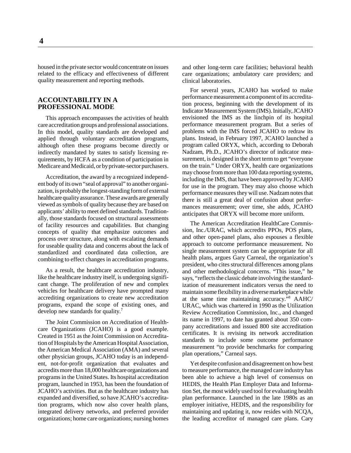housed in the private sector would concentrate on issues related to the efficacy and effectiveness of different quality measurement and reporting methods.

## **ACCOUNTABILITY IN A PROFESSIONAL MODE**

This approach encompasses the activities of health care accreditation groups and professional associations. In this model, quality standards are developed and applied through voluntary accreditation programs, although often these programs become directly or indirectly mandated by states to satisfy licensing requirements, by HCFA as a condition of participation in Medicare and Medicaid, or by private-sector purchasers.

Accreditation, the award by a recognized independent body of its own "seal of approval" to another organization, is probably the longest-standing form of external healthcare quality assurance. These awards are generally viewed as symbols of quality because they are based on applicants' ability to meet defined standards. Traditionally, those standards focused on structural assessments of facility resources and capabilities. But changing concepts of quality that emphasize outcomes and process over structure, along with escalating demands for useable quality data and concerns about the lack of standardized and coordinated data collection, are combining to effect changes in accreditation programs.

As a result, the healthcare accreditation industry, like the healthcare industry itself, is undergoing significant change. The proliferation of new and complex vehicles for healthcare delivery have prompted many accrediting organizations to create new accreditation programs, expand the scope of existing ones, and develop new standards for quality.7

The Joint Commission on Accreditation of Healthcare Organizations (JCAHO) is a good example. Created in 1951 as the Joint Commission on Accreditation of Hospitals by the American Hospital Association, the American Medical Association (AMA) and several other physician groups, JCAHO today is an independent, not-for-profit organization that evaluates and accredits more than 18,000 healthcare organizations and programs in the United States. Its hospital accreditation program, launched in 1953, has been the foundation of JCAHO's activities. But as the healthcare industry has expanded and diversified, so have JCAHO's accreditation programs, which now also cover health plans, integrated delivery networks, and preferred provider organizations; home care organizations; nursing homes

and other long-term care facilities; behavioral health care organizations; ambulatory care providers; and clinical laboratories.

For several years, JCAHO has worked to make performance measurement a component of its accreditation process, beginning with the development of its Indicator Measurement System (IMS). Initially, JCAHO envisioned the IMS as the linchpin of its hospital performance measurement program. But a series of problems with the IMS forced JCAHO to redraw its plans. Instead, in February 1997, JCAHO launched a program called ORYX, which, according to Deborah Nadzam, Ph.D., JCAHO's director of indicator measurement, is designed in the short term to get "everyone on the train." Under ORYX, health care organizations may choose from more than 100 data reporting systems, including the IMS, that have been approved by JCAHO for use in the program. They may also choose which performance measures they will use. Nadzam notes that there is still a great deal of confusion about performances measurement; over time, she adds, JCAHO anticipates that ORYX will become more uniform.

The American Accreditation HealthCare Commission, Inc./URAC, which accredits PPOs, POS plans, and other open-panel plans, also espouses a flexible approach to outcome performance measurement. No single measurement system can be appropriate for all health plans, argues Gary Carneal, the organization's president, who cites structural differences among plans and other methodological concerns. "This issue," he says, "reflects the classic debate involving the standardization of measurement indicators versus the need to maintain some flexibility in a diverse marketplace while at the same time maintaining accuracy."8 AAHC/ URAC, which was chartered in 1990 as the Utilization Review Accreditation Commission, Inc., and changed its name in 1997, to date has granted about 350 company accreditations and issued 800 site accreditation certificates. It is revising its network accreditation standards to include some outcome performance measurement "to provide benchmarks for comparing plan operations," Carneal says.

Yet despite confusion and disagreement on how best to measure performance, the managed care industry has been able to achieve a high level of consensus on HEDIS, the Health Plan Employer Data and Information Set, the most widely used tool for evaluating health plan performance. Launched in the late 1980s as an employer initiative, HEDIS, and the responsibility for maintaining and updating it, now resides with NCQA, the leading accreditor of managed care plans. Cary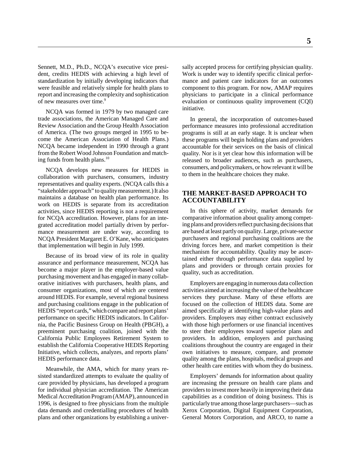Sennett, M.D., Ph.D., NCQA's executive vice president, credits HEDIS with achieving a high level of standardization by initially developing indicators that were feasible and relatively simple for health plans to report and increasing the complexity and sophistication of new measures over time.<sup>9</sup>

NCQA was formed in 1979 by two managed care trade associations, the American Managed Care and Review Association and the Group Health Association of America. (The two groups merged in 1995 to become the American Association of Health Plans.) NCQA became independent in 1990 through a grant from the Robert Wood Johnson Foundation and matching funds from health plans.<sup>10</sup>

NCQA develops new measures for HEDIS in collaboration with purchasers, consumers, industry representatives and quality experts. (NCQA calls this a "stakeholder approach" to quality measurement.) It also maintains a database on health plan performance. Its work on HEDIS is separate from its accreditation activities, since HEDIS reporting is not a requirement for NCQA accreditation. However, plans for an integrated accreditation model partially driven by performance measurement are under way, according to NCQA President Margaret E. O'Kane, who anticipates that implementation will begin in July 1999.

Because of its broad view of its role in quality assurance and performance measurement, NCQA has become a major player in the employer-based value purchasing movement and has engaged in many collaborative initiatives with purchasers, health plans, and consumer organizations, most of which are centered around HEDIS. For example, several regional business and purchasing coalitions engage in the publication of HEDIS "report cards," which compare and report plans' performance on specific HEDIS indicators. In California, the Pacific Business Group on Health (PBGH), a preeminent purchasing coalition, joined with the California Public Employees Retirement System to establish the California Cooperative HEDIS Reporting Initiative, which collects, analyzes, and reports plans' HEDIS performance data.

Meanwhile, the AMA, which for many years resisted standardized attempts to evaluate the quality of care provided by physicians, has developed a program for individual physician accreditation. The American Medical Accreditation Program (AMAP), announced in 1996, is designed to free physicians from the multiple data demands and credentialling procedures of health plans and other organizations by establishing a univer-

sally accepted process for certifying physician quality. Work is under way to identify specific clinical performance and patient care indicators for an outcomes component to this program. For now, AMAP requires physicians to participate in a clinical performance evaluation or continuous quality improvement (CQI) initiative.

In general, the incorporation of outcomes-based performance measures into professional accreditation programs is still at an early stage. It is unclear when these programs will begin holding plans and providers accountable for their services on the basis of clinical quality. Nor is it yet clear how this information will be released to broader audiences, such as purchasers, consumers, and policymakers, or how relevant it will be to them in the healthcare choices they make.

#### **THE MARKET-BASED APPROACH TO ACCOUNTABILITY**

In this sphere of activity, market demands for comparative information about quality among competing plans and providers reflect purchasing decisions that are based at least partly on quality. Large, private-sector purchasers and regional purchasing coalitions are the driving forces here, and market competition is their mechanism for accountability. Quality may be ascertained either through performance data supplied by plans and providers or through certain proxies for quality, such as accreditation.

Employers are engaging in numerous data collection activities aimed at increasing the value of the healthcare services they purchase. Many of these efforts are focused on the collection of HEDIS data. Some are aimed specifically at identifying high-value plans and providers. Employers may either contract exclusively with those high performers or use financial incentives to steer their employees toward superior plans and providers. In addition, employers and purchasing coalitions throughout the country are engaged in their own initiatives to measure, compare, and promote quality among the plans, hospitals, medical groups and other health care entities with whom they do business.

Employers' demands for information about quality are increasing the pressure on health care plans and providers to invest more heavily in improving their data capabilities as a condition of doing business. This is particularly true among those large purchasers—such as Xerox Corporation, Digital Equipment Corporation, General Motors Corporation, and ARCO, to name a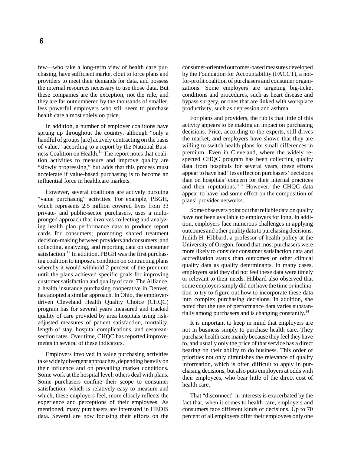few—who take a long-term view of health care purchasing, have sufficient market clout to force plans and providers to meet their demands for data, and possess the internal resources necessary to use those data. But these companies are the exception, not the rule, and they are far outnumbered by the thousands of smaller, less powerful employers who still seem to purchase health care almost solely on price.

In addition, a number of employer coalitions have sprung up throughout the country, although "only a handful of groups [are] actively contracting on the basis of value," according to a report by the National Business Coalition on Health.<sup>11</sup> The report notes that coalition activities to measure and improve quality are "slowly progressing," but adds that this process must accelerate if value-based purchasing is to become an influential force in healthcare markets.

However, several coalitions are actively pursuing "value purchasing" activities. For example, PBGH, which represents 2.5 million covered lives from 33 private- and public-sector purchasers, uses a multipronged approach that involves collecting and analyzing health plan performance data to produce report cards for consumers; promoting shared treatment decision-making between providers and consumers; and collecting, analyzing, and reporting data on consumer satisfaction.<sup>12</sup> In addition, PBGH was the first purchasing coalition to impose a condition on contracting plans whereby it would withhold 2 percent of the premium until the plans achieved specific goals for improving customer satisfaction and quality of care. The Alliance, a health insurance purchasing cooperative in Denver, has adopted a similar approach. In Ohio, the employerdriven Cleveland Health Quality Choice (CHQC) program has for several years measured and tracked quality of care provided by area hospitals using riskadjusted measures of patient satisfaction, mortality, length of stay, hospital complications, and cesareansection rates. Over time, CHQC has reported improvements in several of these indicators.

Employers involved in value purchasing activities take widely divergent approaches, depending heavily on their influence and on prevailing market conditions. Some work at the hospital level; others deal with plans. Some purchasers confine their scope to consumer satisfaction, which is relatively easy to measure and which, these employers feel, more closely reflects the experience and perceptions of their employees. As mentioned, many purchasers are interested in HEDIS data. Several are now focusing their efforts on the consumer-oriented outcomes-based measures developed by the Foundation for Accountability (FACCT), a notfor-profit coalition of purchasers and consumer organizations. Some employers are targeting big-ticket conditions and procedures, such as heart disease and bypass surgery, or ones that are linked with workplace productivity, such as depression and asthma.

For plans and providers, the rub is that little of this activity appears to be making an impact on purchasing decisions. Price, according to the experts, still drives the market, and employers have shown that they are willing to switch health plans for small differences in premium. Even in Cleveland, where the widely respected CHQC program has been collecting quality data from hospitals for several years, these efforts appear to have had "less effect on purchasers' decisions than on hospitals' concern for their internal practices and their reputations."13 However, the CHQC data appear to have had some effect on the composition of plans' provider networks.

Some observers point out that reliable data on quality have not been available to employers for long. In addition, employers face numerous challenges in applying outcomes and other quality data to purchasing decisions. Judith H. Hibbard, a professor of health policy at the University of Oregon, found that most purchasers were more likely to consider consumer satisfaction data and accreditation status than outcomes or other clinical quality data as quality determinants. In many cases, employers said they did not feel these data were timely or relevant to their needs. Hibbard also observed that some employers simply did not have the time or inclination to try to figure out how to incorporate these data into complex purchasing decisions. In addition, she noted that the use of performance data varies substantially among purchasers and is changing constantly.14

It is important to keep in mind that employers are not in business simply to purchase health care. They purchase health care mainly because they feel they have to, and usually only the price of that service has a direct bearing on their ability to do business. This order of priorities not only diminishes the relevance of quality information, which is often difficult to apply in purchasing decisions, but also puts employers at odds with their employees, who bear little of the direct cost of health care.

That "disconnect" in interests is exacerbated by the fact that, when it comes to health care, employers and consumers face different kinds of decisions. Up to 70 percent of all employers offer their employees only one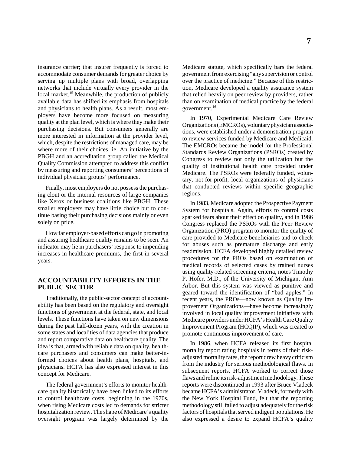insurance carrier; that insurer frequently is forced to accommodate consumer demands for greater choice by serving up multiple plans with broad, overlapping networks that include virtually every provider in the local market.<sup>15</sup> Meanwhile, the production of publicly available data has shifted its emphasis from hospitals and physicians to health plans. As a result, most employers have become more focused on measuring quality at the plan level, which is where they make their purchasing decisions. But consumers generally are more interested in information at the provider level, which, despite the restrictions of managed care, may be where more of their choices lie. An initiative by the PBGH and an accreditation group called the Medical Quality Commission attempted to address this conflict by measuring and reporting consumers' perceptions of individual physician groups' performance.

Finally, most employers do not possess the purchasing clout or the internal resources of large companies like Xerox or business coalitions like PBGH. These smaller employers may have little choice but to continue basing their purchasing decisions mainly or even solely on price.

How far employer-based efforts can go in promoting and assuring healthcare quality remains to be seen. An indicator may lie in purchasers' response to impending increases in healthcare premiums, the first in several years.

## **ACCOUNTABILITY EFFORTS IN THE PUBLIC SECTOR**

Traditionally, the public-sector concept of accountability has been based on the regulatory and oversight functions of government at the federal, state, and local levels. These functions have taken on new dimensions during the past half-dozen years, with the creation in some states and localities of data agencies that produce and report comparative data on healthcare quality. The idea is that, armed with reliable data on quality, healthcare purchasers and consumers can make better-informed choices about health plans, hospitals, and physicians. HCFA has also expressed interest in this concept for Medicare.

The federal government's efforts to monitor healthcare quality historically have been linked to its efforts to control healthcare costs, beginning in the 1970s, when rising Medicare costs led to demands for stricter hospitalization review. The shape of Medicare's quality oversight program was largely determined by the

Medicare statute, which specifically bars the federal government from exercising "any supervision or control over the practice of medicine." Because of this restriction, Medicare developed a quality assurance system that relied heavily on peer review by providers, rather than on examination of medical practice by the federal government.<sup>16</sup>

In 1970, Experimental Medicare Care Review Organizations (EMCROs), voluntary physician associations, were established under a demonstration program to review services funded by Medicare and Medicaid. The EMCROs became the model for the Professional Standards Review Organizations (PSROs) created by Congress to review not only the utilization but the quality of institutional health care provided under Medicare. The PSROs were federally funded, voluntary, not-for-profit, local organizations of physicians that conducted reviews within specific geographic regions.

In 1983, Medicare adopted the Prospective Payment System for hospitals. Again, efforts to control costs sparked fears about their effect on quality, and in 1986 Congress replaced the PSROs with the Peer Review Organization (PRO) program to monitor the quality of care provided to Medicare beneficiaries and to check for abuses such as premature discharge and early readmission. HCFA developed highly detailed review procedures for the PROs based on examination of medical records of selected cases by trained nurses using quality-related screening criteria, notes Timothy P. Hofer, M.D., of the University of Michigan, Ann Arbor. But this system was viewed as punitive and geared toward the identification of "bad apples." In recent years, the PROs—now known as Quality Improvement Organizations—have become increasingly involved in local quality improvement initiatives with Medicare providers under HCFA's Health Care Quality Improvement Program (HCQIP), which was created to promote continuous improvement of care.

In 1986, when HCFA released its first hospital mortality report rating hospitals in terms of their riskadjusted mortality rates, the report drew heavy criticism from the industry for serious methodological flaws. In subsequent reports, HCFA worked to correct those flaws and refine its risk-adjustment methodology. These reports were discontinued in 1993 after Bruce Vladeck became HCFA's administrator. Vladeck, formerly with the New York Hospital Fund, felt that the reporting methodology still failed to adjust adequately for the risk factors of hospitals that served indigent populations. He also expressed a desire to expand HCFA's quality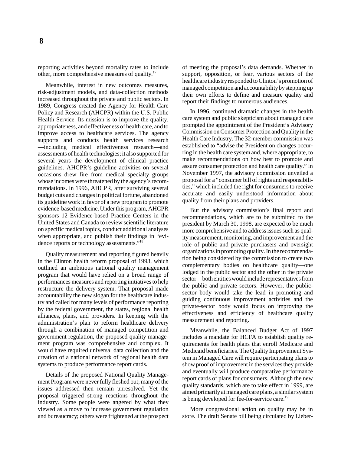reporting activities beyond mortality rates to include other, more comprehensive measures of quality.17

Meanwhile, interest in new outcomes measures, risk-adjustment models, and data-collection methods increased throughout the private and public sectors. In 1989, Congress created the Agency for Health Care Policy and Research (AHCPR) within the U.S. Public Health Service. Its mission is to improve the quality, appropriateness, and effectiveness of health care, and to improve access to healthcare services. The agency supports and conducts health services research —including medical effectiveness research—and assessments of health technologies; it also supported for several years the development of clinical practice guidelines. AHCPR's guideline activities on several occasions drew fire from medical specialty groups whose incomes were threatened by the agency's recommendations. In 1996, AHCPR, after surviving several budget cuts and changes in political fortune, abandoned its guideline work in favor of a new program to promote evidence-based medicine. Under this program, AHCPR sponsors 12 Evidence-based Practice Centers in the United States and Canada to review scientific literature on specific medical topics, conduct additional analyses when appropriate, and publish their findings in "evidence reports or technology assessments."18

Quality measurement and reporting figured heavily in the Clinton health reform proposal of 1993, which outlined an ambitious national quality management program that would have relied on a broad range of performances measures and reporting initiatives to help restructure the delivery system. That proposal made accountability the new slogan for the healthcare industry and called for many levels of performance reporting by the federal government, the states, regional health alliances, plans, and providers. In keeping with the administration's plan to reform healthcare delivery through a combination of managed competition and government regulation, the proposed quality management program was comprehensive and complex. It would have required universal data collection and the creation of a national network of regional health data systems to produce performance report cards.

Details of the proposed National Quality Management Program were never fully fleshed out; many of the issues addressed then remain unresolved. Yet the proposal triggered strong reactions throughout the industry. Some people were angered by what they viewed as a move to increase government regulation and bureaucracy; others were frightened at the prospect

of meeting the proposal's data demands. Whether in support, opposition, or fear, various sectors of the healthcare industry responded to Clinton's promotion of managed competition and accountability by stepping up their own efforts to define and measure quality and report their findings to numerous audiences.

In 1996, continued dramatic changes in the health care system and public skepticism about managed care prompted the appointment of the President's Advisory Commission on Consumer Protection and Quality in the Health Care Industry. The 32-member commission was established to "advise the President on changes occurring in the health care system and, where appropriate, to make recommendations on how best to promote and assure consumer protection and health care quality." In November 1997, the advisory commission unveiled a proposal for a "consumer bill of rights and responsibilities," which included the right for consumers to receive accurate and easily understood information about quality from their plans and providers.

But the advisory commission's final report and recommendations, which are to be submitted to the president by March 30, 1998, are expected to be much more comprehensive and to address issues such as quality measurement, monitoring, and improvement and the role of public and private purchasers and oversight organizations in promoting quality. In the recommendation being considered by the commission to create two complementary bodies on healthcare quality—one lodged in the public sector and the other in the private sector—both entities would include representatives from the public and private sectors. However, the publicsector body would take the lead in promoting and guiding continuous improvement activities and the private-sector body would focus on improving the effectiveness and efficiency of healthcare quality measurement and reporting.

Meanwhile, the Balanced Budget Act of 1997 includes a mandate for HCFA to establish quality requirements for health plans that enroll Medicare and Medicaid beneficiaries. The Quality Improvement System in Managed Care will require participating plans to show proof of improvement in the services they provide and eventually will produce comparative performance report cards of plans for consumers. Although the new quality standards, which are to take effect in 1999, are aimed primarily at managed care plans, a similar system is being developed for fee-for-service care.<sup>19</sup>

More congressional action on quality may be in store. The draft Senate bill being circulated by Lieber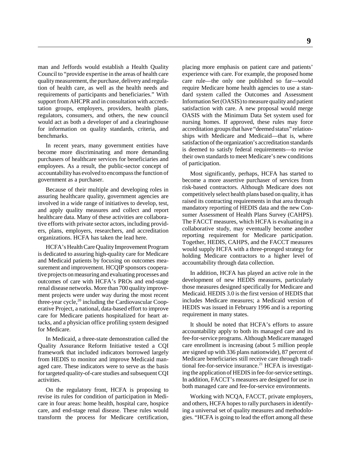man and Jeffords would establish a Health Quality Council to "provide expertise in the areas of health care quality measurement, the purchase, delivery and regulation of health care, as well as the health needs and requirements of participants and beneficiaries." With support from AHCPR and in consultation with accreditation groups, employers, providers, health plans, regulators, consumers, and others, the new council would act as both a developer of and a clearinghouse for information on quality standards, criteria, and benchmarks.

In recent years, many government entities have become more discriminating and more demanding purchasers of healthcare services for beneficiaries and employees. As a result, the public-sector concept of accountability has evolved to encompass the function of government as a purchaser.

Because of their multiple and developing roles in assuring healthcare quality, government agencies are involved in a wide range of initiatives to develop, test, and apply quality measures and collect and report healthcare data. Many of these activities are collaborative efforts with private sector actors, including providers, plans, employers, researchers, and accreditation organizations. HCFA has taken the lead here.

HCFA's Health Care Quality Improvement Program is dedicated to assuring high-quality care for Medicare and Medicaid patients by focusing on outcomes measurement and improvement. HCQIP sponsors cooperative projects on measuring and evaluating processes and outcomes of care with HCFA's PROs and end-stage renal disease networks. More than 700 quality improvement projects were under way during the most recent three-year cycle, $^{20}$  including the Cardiovascular Cooperative Project, a national, data-based effort to improve care for Medicare patients hospitalized for heart attacks, and a physician office profiling system designed for Medicare.

In Medicaid, a three-state demonstration called the Quality Assurance Reform Initiative tested a CQI framework that included indicators borrowed largely from HEDIS to monitor and improve Medicaid managed care. These indicators were to serve as the basis for targeted quality-of-care studies and subsequent CQI activities.

On the regulatory front, HCFA is proposing to revise its rules for condition of participation in Medicare in four areas: home health, hospital care, hospice care, and end-stage renal disease. These rules would transform the process for Medicare certification,

placing more emphasis on patient care and patients' experience with care. For example, the proposed home care rule—the only one published so far—would require Medicare home health agencies to use a standard system called the Outcomes and Assessment Information Set (OASIS) to measure quality and patient satisfaction with care. A new proposal would merge OASIS with the Minimum Data Set system used for nursing homes. If approved, these rules may force accreditation groups that have "deemed status" relationships with Medicare and Medicaid—that is, where satisfaction of the organization's accreditation standards is deemed to satisfy federal requirements—to revise their own standards to meet Medicare's new conditions of participation.

Most significantly, perhaps, HCFA has started to become a more assertive purchaser of services from risk-based contractors. Although Medicare does not competitively select health plans based on quality, it has raised its contracting requirements in that area through mandatory reporting of HEDIS data and the new Consumer Assessment of Health Plans Survey (CAHPS). The FACCT measures, which HCFA is evaluating in a collaborative study, may eventually become another reporting requirement for Medicare participation. Together, HEDIS, CAHPS, and the FACCT measures would supply HCFA with a three-pronged strategy for holding Medicare contractors to a higher level of accountability through data collection.

In addition, HCFA has played an active role in the development of new HEDIS measures, particularly those measures designed specifically for Medicare and Medicaid. HEDIS 3.0 is the first version of HEDIS that includes Medicare measures; a Medicaid version of HEDIS was issued in February 1996 and is a reporting requirement in many states.

It should be noted that HCFA's efforts to assure accountability apply to both its managed care and its fee-for-service programs. Although Medicare managed care enrollment is increasing (about 5 million people are signed up with 336 plans nationwide), 87 percent of Medicare beneficiaries still receive care through traditional fee-for-service insurance.<sup>21</sup> HCFA is investigating the application of HEDIS in fee-for-service settings. In addition, FACCT's measures are designed for use in both managed care and fee-for-service environments.

Working with NCQA, FACCT, private employers, and others, HCFA hopes to rally purchasers in identifying a universal set of quality measures and methodologies. "HCFA is going to lead the effort among all these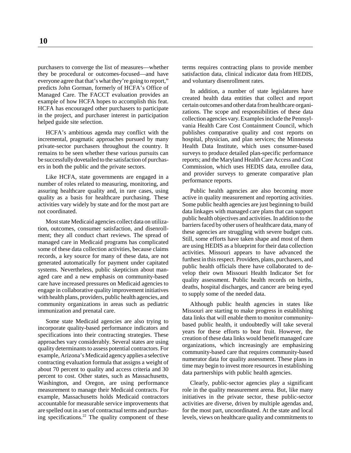purchasers to converge the list of measures—whether they be procedural or outcomes-focused—and have everyone agree that that's what they're going to report," predicts John Gorman, formerly of HCFA's Office of Managed Care. The FACCT evaluation provides an example of how HCFA hopes to accomplish this feat. HCFA has encouraged other purchasers to participate in the project, and purchaser interest in participation helped guide site selection.

HCFA's ambitious agenda may conflict with the incremental, pragmatic approaches pursued by many private-sector purchasers throughout the country. It remains to be seen whether these various pursuits can be successfully dovetailed to the satisfaction of purchasers in both the public and the private sectors.

Like HCFA, state governments are engaged in a number of roles related to measuring, monitoring, and assuring healthcare quality and, in rare cases, using quality as a basis for healthcare purchasing. These activities vary widely by state and for the most part are not coordinated.

Most state Medicaid agencies collect data on utilization, outcomes, consumer satisfaction, and disenrollment; they all conduct chart reviews. The spread of managed care in Medicaid programs has complicated some of these data collection activities, because claims records, a key source for many of these data, are not generated automatically for payment under capitated systems. Nevertheless, public skepticism about managed care and a new emphasis on community-based care have increased pressures on Medicaid agencies to engage in collaborative quality improvement initiatives with health plans, providers, public health agencies, and community organizations in areas such as pediatric immunization and prenatal care.

Some state Medicaid agencies are also trying to incorporate quality-based performance indicators and specifications into their contracting strategies. These approaches vary considerably. Several states are using quality determinants to assess potential contractors. For example, Arizona's Medicaid agency applies a selective contracting evaluation formula that assigns a weight of about 70 percent to quality and access criteria and 30 percent to cost. Other states, such as Massachusetts, Washington, and Oregon, are using performance measurement to manage their Medicaid contracts. For example, Massachusetts holds Medicaid contractors accountable for measurable service improvements that are spelled out in a set of contractual terms and purchasing specifications.<sup>22</sup> The quality component of these terms requires contracting plans to provide member satisfaction data, clinical indicator data from HEDIS, and voluntary disenrollment rates.

In addition, a number of state legislatures have created health data entities that collect and report certain outcomes and other data from healthcare organizations. The scope and responsibilities of these data collection agencies vary. Examples include the Pennsylvania Health Care Cost Containment Council, which publishes comparative quality and cost reports on hospital, physician, and plan services; the Minnesota Health Data Institute, which uses consumer-based surveys to produce detailed plan-specific performance reports; and the Maryland Health Care Access and Cost Commission, which uses HEDIS data, enrollee data, and provider surveys to generate comparative plan performance reports.

Public health agencies are also becoming more active in quality measurement and reporting activities. Some public health agencies are just beginning to build data linkages with managed care plans that can support public health objectives and activities. In addition to the barriers faced by other users of healthcare data, many of these agencies are struggling with severe budget cuts. Still, some efforts have taken shape and most of them are using HEDIS as a blueprint for their data collection activities. Missouri appears to have advanced the furthest in this respect. Providers, plans, purchasers, and public health officials there have collaborated to develop their own Missouri Health Indicator Set for quality assessment. Public health records on births, deaths, hospital discharges, and cancer are being eyed to supply some of the needed data.

Although public health agencies in states like Missouri are starting to make progress in establishing data links that will enable them to monitor communitybased public health, it undoubtedly will take several years for these efforts to bear fruit. However, the creation of these data links would benefit managed care organizations, which increasingly are emphasizing community-based care that requires community-based numerator data for quality assessment. These plans in time may begin to invest more resources in establishing data partnerships with public health agencies.

Clearly, public-sector agencies play a significant role in the quality measurement arena. But, like many initiatives in the private sector, these public-sector activities are diverse, driven by multiple agendas and, for the most part, uncoordinated. At the state and local levels, views on healthcare quality and commitments to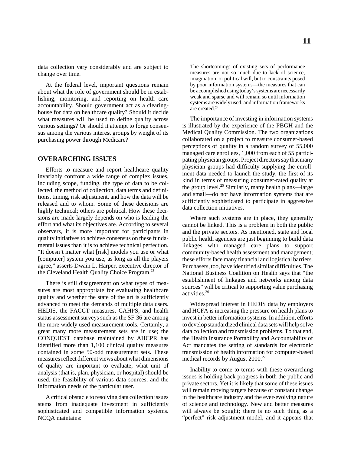data collection vary considerably and are subject to change over time.

At the federal level, important questions remain about what the role of government should be in establishing, monitoring, and reporting on health care accountability. Should government act as a clearinghouse for data on healthcare quality? Should it decide what measures will be used to define quality across various settings? Or should it attempt to forge consensus among the various interest groups by weight of its purchasing power through Medicare?

#### **OVERARCHING ISSUES**

Efforts to measure and report healthcare quality invariably confront a wide range of complex issues, including scope, funding, the type of data to be collected, the method of collection, data terms and definitions, timing, risk adjustment, and how the data will be released and to whom. Some of these decisions are highly technical; others are political. How these decisions are made largely depends on who is leading the effort and what its objectives are. According to several observers, it is more important for participants in quality initiatives to achieve consensus on these fundamental issues than it is to achieve technical perfection. "It doesn't matter what [risk] models you use or what [computer] system you use, as long as all the players agree," asserts Dwain L. Harper, executive director of the Cleveland Health Quality Choice Program.<sup>23</sup>

There is still disagreement on what types of measures are most appropriate for evaluating healthcare quality and whether the state of the art is sufficiently advanced to meet the demands of multiple data users. HEDIS, the FACCT measures, CAHPS, and health status assessment surveys such as the SF-36 are among the more widely used measurement tools. Certainly, a great many more measurement sets are in use; the CONQUEST database maintained by AHCPR has identified more than 1,100 clinical quality measures contained in some 50-odd measurement sets. These measures reflect different views about what dimensions of quality are important to evaluate, what unit of analysis (that is, plan, physician, or hospital) should be used, the feasibility of various data sources, and the information needs of the particular user.

A critical obstacle to resolving data collection issues stems from inadequate investment in sufficiently sophisticated and compatible information systems. NCQA maintains:

The shortcomings of existing sets of performance measures are not so much due to lack of science, imagination, or political will, but to constraints posed by poor information systems—the measures that can be accomplished using today's systems are necessarily weak and sparse and will remain so until information systems are widely used, and information frameworks are created.<sup>24</sup>

The importance of investing in information systems is illustrated by the experience of the PBGH and the Medical Quality Commission. The two organizations collaborated on a project to measure consumer-based perceptions of quality in a random survey of 55,000 managed care enrollees, 1,000 from each of 55 participating physician groups. Project directors say that many physician groups had difficulty supplying the enrollment data needed to launch the study, the first of its kind in terms of measuring consumer-rated quality at the group level.<sup>25</sup> Similarly, many health plans—large and small—do not have information systems that are sufficiently sophisticated to participate in aggressive data collection initiatives.

Where such systems are in place, they generally cannot be linked. This is a problem in both the public and the private sectors. As mentioned, state and local public health agencies are just beginning to build data linkages with managed care plans to support community-based health assessment and management; these efforts face many financial and logistical barriers. Purchasers, too, have identified similar difficulties. The National Business Coalition on Health says that "the establishment of linkages and networks among data sources" will be critical to supporting value purchasing activities.26

Widespread interest in HEDIS data by employers and HCFA is increasing the pressure on health plans to invest in better information systems. In addition, efforts to develop standardized clinical data sets will help solve data collection and transmission problems. To that end, the Health Insurance Portability and Accountability of Act mandates the setting of standards for electronic transmission of health information for computer-based medical records by August 2000.<sup>27</sup>

Inability to come to terms with these overarching issues is holding back progress in both the public and private sectors. Yet it is likely that some of these issues will remain moving targets because of constant change in the healthcare industry and the ever-evolving nature of science and technology. New and better measures will always be sought; there is no such thing as a "perfect" risk adjustment model, and it appears that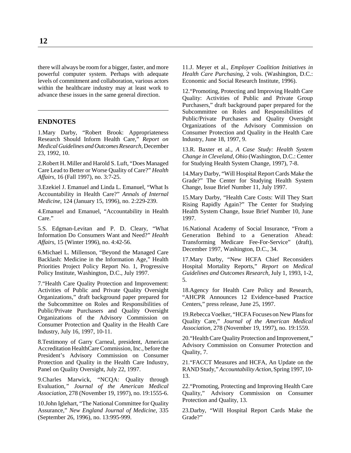there will always be room for a bigger, faster, and more powerful computer system. Perhaps with adequate levels of commitment and collaboration, various actors within the healthcare industry may at least work to advance these issues in the same general direction.

#### **ENDNOTES**

1.Mary Darby, "Robert Brook: Appropriateness Research Should Inform Health Care," *Report on Medical Guidelines and Outcomes Research,* December 23, 1992, 10.

2.Robert H. Miller and Harold S. Luft, "Does Managed Care Lead to Better or Worse Quality of Care?" *Health Affairs*, 16 (Fall 1997), no. 3:7-25.

3.Ezekiel J. Emanuel and Linda L. Emanuel, "What Is Accountability in Health Care?" *Annals of Internal Medicine*, 124 (January 15, 1996), no. 2:229-239.

4.Emanuel and Emanuel, "Accountability in Health Care."

5.S. Edgman-Levitan and P. D. Cleary, "What Information Do Consumers Want and Need?" *Health Affairs*, 15 (Winter 1996), no. 4:42-56.

6.Michael L. Millenson, "Beyond the Managed Care Backlash: Medicine in the Information Age," Health Priorities Project Policy Report No. 1, Progressive Policy Institute, Washington, D.C., July 1997.

7."Health Care Quality Protection and Improvement: Activities of Public and Private Quality Oversight Organizations," draft background paper prepared for the Subcommittee on Roles and Responsibilities of Public/Private Purchasers and Quality Oversight Organizations of the Advisory Commission on Consumer Protection and Quality in the Health Care Industry, July 16, 1997, 10-11.

8.Testimony of Garry Carneal, president, American Accreditation HealthCare Commission, Inc., before the President's Advisory Commission on Consumer Protection and Quality in the Health Care Industry, Panel on Quality Oversight, July 22, 1997.

9.Charles Marwick, "NCQA: Quality through Evaluation*," Journal of the American Medical Association*, 278 (November 19, 1997), no. 19:1555-6.

10.John Iglehart, "The National Committee for Quality Assurance," *New England Journal of Medicine,* 335 (September 26, 1996), no. 13:995-999.

11.J. Meyer et al., *Employer Coalition Initiatives in Health Care Purchasing*, 2 vols. (Washington, D.C.: Economic and Social Research Institute, 1996).

12."Promoting, Protecting and Improving Health Care Quality: Activities of Public and Private Group Purchasers," draft background paper prepared for the Subcommittee on Roles and Responsibilities of Public/Private Purchasers and Quality Oversight Organizations of the Advisory Commission on Consumer Protection and Quality in the Health Care Industry, June 18, 1997, 9.

13.R. Baxter et al., *A Case Study: Health System Change in Cleveland, Ohio* (Washington, D.C.: Center for Studying Health System Change, 1997), 7-8.

14.Mary Darby, "Will Hospital Report Cards Make the Grade?" The Center for Studying Health System Change, Issue Brief Number 11, July 1997.

15.Mary Darby, "Health Care Costs: Will They Start Rising Rapidly Again?" The Center for Studying Health System Change, Issue Brief Number 10, June 1997.

16.National Academy of Social Insurance, "From a Generation Behind to a Generation Ahead: Transforming Medicare Fee-For-Service" (draft), December 1997, Washington, D.C., 34.

17.Mary Darby, "New HCFA Chief Reconsiders Hospital Mortality Reports," *Report on Medical Guidelines and Outcomes Research,* July 1, 1993, 1-2, 5.

18.Agency for Health Care Policy and Research, "AHCPR Announces 12 Evidence-based Practice Centers," press release, June 25, 1997.

19.Rebecca Voelker, "HCFA Focuses on New Plans for Quality Care," *Journal of the American Medical Association*, 278 (November 19, 1997), no. 19:1559.

20."Health Care Quality Protection and Improvement," Advisory Commission on Consumer Protection and Quality, 7.

21."FACCT Measures and HCFA, An Update on the RAND Study,"*Accountability Action*, Spring 1997, 10- 13.

22."Promoting, Protecting and Improving Health Care Quality," Advisory Commission on Consumer Protection and Quality, 13.

23.Darby, "Will Hospital Report Cards Make the Grade?"